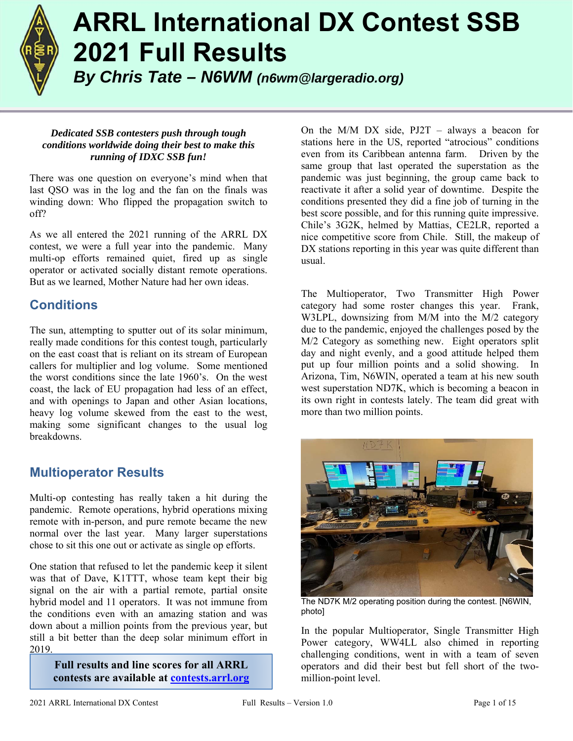

# **ARRL International DX Contest SSB 2021 Full Results**

*By Chris Tate – N6WM (n6wm@largeradio.org)*

#### *Dedicated SSB contesters push through tough conditions worldwide doing their best to make this running of IDXC SSB fun!*

There was one question on everyone's mind when that last QSO was in the log and the fan on the finals was winding down: Who flipped the propagation switch to off?

As we all entered the 2021 running of the ARRL DX contest, we were a full year into the pandemic. Many multi-op efforts remained quiet, fired up as single operator or activated socially distant remote operations. But as we learned, Mother Nature had her own ideas.

## **Conditions**

The sun, attempting to sputter out of its solar minimum, really made conditions for this contest tough, particularly on the east coast that is reliant on its stream of European callers for multiplier and log volume. Some mentioned the worst conditions since the late 1960's. On the west coast, the lack of EU propagation had less of an effect, and with openings to Japan and other Asian locations, heavy log volume skewed from the east to the west, making some significant changes to the usual log breakdowns.

## **Multioperator Results**

Multi-op contesting has really taken a hit during the pandemic. Remote operations, hybrid operations mixing remote with in-person, and pure remote became the new normal over the last year. Many larger superstations chose to sit this one out or activate as single op efforts.

One station that refused to let the pandemic keep it silent was that of Dave, K1TTT, whose team kept their big signal on the air with a partial remote, partial onsite hybrid model and 11 operators. It was not immune from the conditions even with an amazing station and was down about a million points from the previous year, but still a bit better than the deep solar minimum effort in 2019.

> **Full results and line scores for all ARRL contests are available at contests.arrl.org**

On the M/M DX side, PJ2T – always a beacon for stations here in the US, reported "atrocious" conditions even from its Caribbean antenna farm. Driven by the same group that last operated the superstation as the pandemic was just beginning, the group came back to reactivate it after a solid year of downtime. Despite the conditions presented they did a fine job of turning in the best score possible, and for this running quite impressive. Chile's 3G2K, helmed by Mattias, CE2LR, reported a nice competitive score from Chile. Still, the makeup of DX stations reporting in this year was quite different than usual.

The Multioperator, Two Transmitter High Power category had some roster changes this year. Frank, W3LPL, downsizing from M/M into the M/2 category due to the pandemic, enjoyed the challenges posed by the M/2 Category as something new. Eight operators split day and night evenly, and a good attitude helped them put up four million points and a solid showing. In Arizona, Tim, N6WIN, operated a team at his new south west superstation ND7K, which is becoming a beacon in its own right in contests lately. The team did great with more than two million points.



The ND7K M/2 operating position during the contest. [N6WIN, photo]

In the popular Multioperator, Single Transmitter High Power category, WW4LL also chimed in reporting challenging conditions, went in with a team of seven operators and did their best but fell short of the twomillion-point level.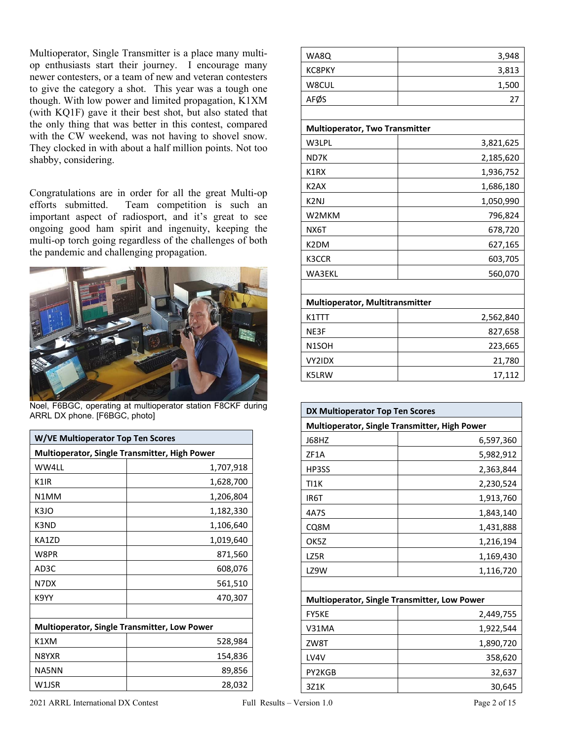Multioperator, Single Transmitter is a place many multiop enthusiasts start their journey. I encourage many newer contesters, or a team of new and veteran contesters to give the category a shot. This year was a tough one though. With low power and limited propagation, K1XM (with KQ1F) gave it their best shot, but also stated that the only thing that was better in this contest, compared with the CW weekend, was not having to shovel snow. They clocked in with about a half million points. Not too shabby, considering.

Congratulations are in order for all the great Multi-op efforts submitted. Team competition is such an important aspect of radiosport, and it's great to see ongoing good ham spirit and ingenuity, keeping the multi-op torch going regardless of the challenges of both the pandemic and challenging propagation.



Noel, F6BGC, operating at multioperator station F8CKF during ARRL DX phone. [F6BGC, photo]

| <b>W/VE Multioperator Top Ten Scores</b>            |           |
|-----------------------------------------------------|-----------|
| Multioperator, Single Transmitter, High Power       |           |
| WW4LL                                               | 1,707,918 |
| K <sub>1</sub> IR                                   | 1,628,700 |
| N1MM                                                | 1,206,804 |
| K3JO                                                | 1,182,330 |
| K3ND                                                | 1,106,640 |
| KA1ZD                                               | 1,019,640 |
| W8PR                                                | 871,560   |
| AD3C                                                | 608,076   |
| N7DX                                                | 561,510   |
| K9YY                                                | 470,307   |
|                                                     |           |
| <b>Multioperator, Single Transmitter, Low Power</b> |           |
| K1XM                                                | 528,984   |
| N8YXR                                               | 154,836   |
| NA5NN                                               | 89,856    |
| W1JSR                                               | 28,032    |

| WA8Q                                  | 3,948     |
|---------------------------------------|-----------|
| <b>KC8PKY</b>                         | 3,813     |
| W8CUL                                 | 1,500     |
| AFØS                                  | 27        |
|                                       |           |
| <b>Multioperator, Two Transmitter</b> |           |
| W3LPL                                 | 3,821,625 |
| ND7K                                  | 2,185,620 |
| K1RX                                  | 1,936,752 |
| K <sub>2</sub> A <sub>X</sub>         | 1,686,180 |
| K <sub>2N</sub>                       | 1,050,990 |
| W2MKM                                 | 796,824   |
| NX6T                                  | 678,720   |
| K2DM                                  | 627,165   |
| K3CCR                                 | 603,705   |
| WA3EKL                                | 560,070   |
|                                       |           |
| Multioperator, Multitransmitter       |           |
| K1TTT                                 | 2,562,840 |
| NE3F                                  | 827,658   |
| N <sub>1</sub> SOH                    | 223,665   |
| VY2IDX                                | 21,780    |
| K5LRW                                 | 17,112    |
|                                       |           |

| DX Multioperator Top Ten Scores                     |           |  |
|-----------------------------------------------------|-----------|--|
| Multioperator, Single Transmitter, High Power       |           |  |
| J68HZ                                               | 6,597,360 |  |
| ZF1A                                                | 5,982,912 |  |
| HP3SS                                               | 2,363,844 |  |
| <b>TI1K</b>                                         | 2,230,524 |  |
| IR <sub>6</sub> T                                   | 1,913,760 |  |
| 4A7S                                                | 1,843,140 |  |
| CQ8M                                                | 1,431,888 |  |
| OK5Z                                                | 1,216,194 |  |
| LZ5R                                                | 1,169,430 |  |
| LZ9W                                                | 1,116,720 |  |
|                                                     |           |  |
| <b>Multioperator, Single Transmitter, Low Power</b> |           |  |
| <b>FY5KE</b>                                        | 2,449,755 |  |
| V31MA                                               | 1,922,544 |  |
| ZW8T                                                | 1,890,720 |  |
| LV4V                                                | 358,620   |  |
| PY2KGB                                              | 32,637    |  |
| 3Z1K                                                | 30,645    |  |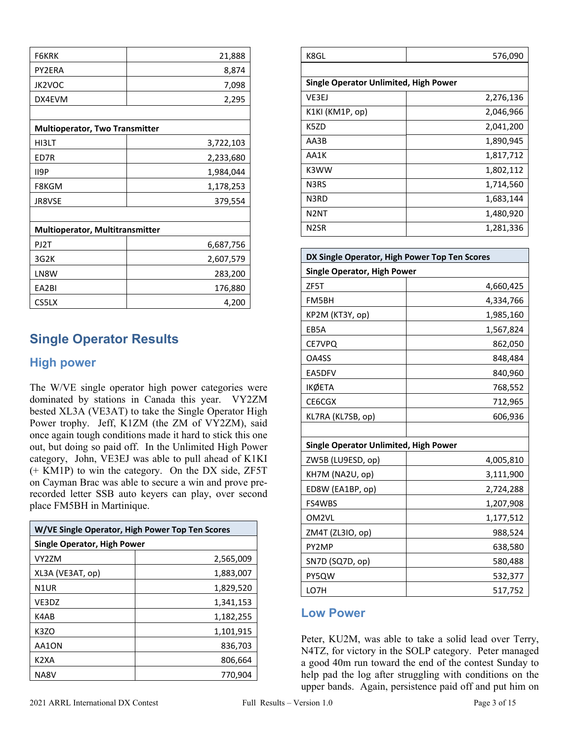| <b>F6KRK</b>                          | 21,888    |
|---------------------------------------|-----------|
| PY2ERA                                | 8,874     |
| <b>JK2VOC</b>                         | 7,098     |
| DX4EVM                                | 2,295     |
|                                       |           |
| <b>Multioperator, Two Transmitter</b> |           |
| HI3LT                                 | 3,722,103 |
| ED7R                                  | 2,233,680 |
| <b>II9P</b>                           | 1,984,044 |
| F8KGM                                 | 1,178,253 |
| <b>JR8VSE</b>                         | 379,554   |
|                                       |           |
| Multioperator, Multitransmitter       |           |
| PJ2T                                  | 6,687,756 |
| 3G2K                                  | 2,607,579 |
| LN8W                                  | 283,200   |
| EA2BI                                 | 176,880   |
| CS5LX                                 | 4,200     |

## **Single Operator Results**

#### **High power**

The W/VE single operator high power categories were dominated by stations in Canada this year. VY2ZM bested XL3A (VE3AT) to take the Single Operator High Power trophy. Jeff, K1ZM (the ZM of VY2ZM), said once again tough conditions made it hard to stick this one out, but doing so paid off. In the Unlimited High Power category, John, VE3EJ was able to pull ahead of K1KI (+ KM1P) to win the category. On the DX side, ZF5T on Cayman Brac was able to secure a win and prove prerecorded letter SSB auto keyers can play, over second place FM5BH in Martinique.

| W/VE Single Operator, High Power Top Ten Scores |           |
|-------------------------------------------------|-----------|
| Single Operator, High Power                     |           |
| VY2ZM                                           | 2,565,009 |
| XL3A (VE3AT, op)                                | 1,883,007 |
| N <sub>1</sub> UR                               | 1,829,520 |
| VE3DZ                                           | 1,341,153 |
| K4AB                                            | 1,182,255 |
| K <sub>3</sub> ZO                               | 1,101,915 |
| AA1ON                                           | 836,703   |
| K2XA                                            | 806,664   |
| NA8V                                            | 770,904   |

| K8GL                                         | 576,090   |
|----------------------------------------------|-----------|
|                                              |           |
| <b>Single Operator Unlimited, High Power</b> |           |
| VE3EJ                                        | 2,276,136 |
| K1KI (KM1P, op)                              | 2,046,966 |
| K5ZD                                         | 2,041,200 |
| AA3B                                         | 1,890,945 |
| AA1K                                         | 1,817,712 |
| K3WW                                         | 1,802,112 |
| N3RS                                         | 1,714,560 |
| N3RD                                         | 1,683,144 |
| N2NT                                         | 1,480,920 |
| N2SR                                         | 1,281,336 |

| DX Single Operator, High Power Top Ten Scores |           |
|-----------------------------------------------|-----------|
| <b>Single Operator, High Power</b>            |           |
| ZF5T                                          | 4,660,425 |
| FM5BH                                         | 4,334,766 |
| KP2M (KT3Y, op)                               | 1,985,160 |
| EB5A                                          | 1,567,824 |
| CE7VPQ                                        | 862,050   |
| OA4SS                                         | 848,484   |
| EA5DFV                                        | 840,960   |
| <b>IKØETA</b>                                 | 768,552   |
| CE6CGX                                        | 712,965   |
| KL7RA (KL7SB, op)                             | 606,936   |
|                                               |           |
| <b>Single Operator Unlimited, High Power</b>  |           |
| ZW5B (LU9ESD, op)                             | 4,005,810 |
| KH7M (NA2U, op)                               | 3,111,900 |
| ED8W (EA1BP, op)                              | 2,724,288 |
| FS4WBS                                        | 1,207,908 |
| OM2VL                                         | 1,177,512 |
| ZM4T (ZL3IO, op)                              | 988,524   |
| PY2MP                                         | 638,580   |
| SN7D (SQ7D, op)                               | 580,488   |
| PY5QW                                         | 532,377   |
| LO7H                                          | 517,752   |

#### **Low Power**

Peter, KU2M, was able to take a solid lead over Terry, N4TZ, for victory in the SOLP category. Peter managed a good 40m run toward the end of the contest Sunday to help pad the log after struggling with conditions on the upper bands. Again, persistence paid off and put him on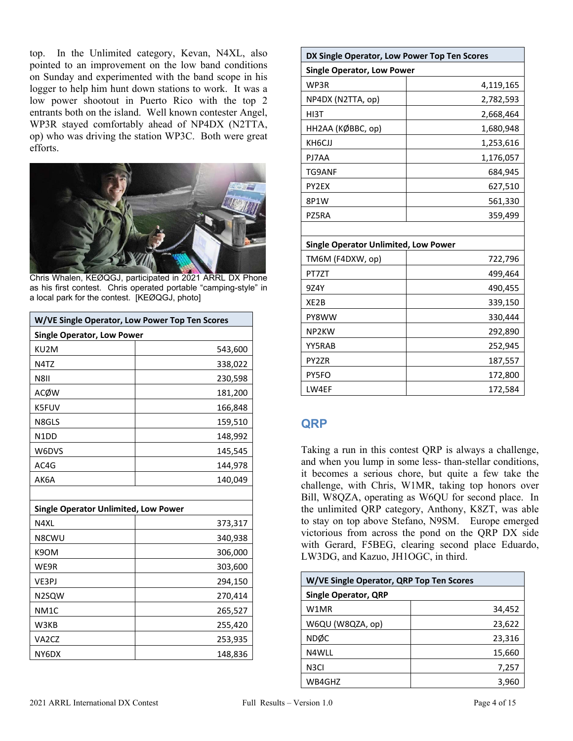top. In the Unlimited category, Kevan, N4XL, also pointed to an improvement on the low band conditions on Sunday and experimented with the band scope in his logger to help him hunt down stations to work. It was a low power shootout in Puerto Rico with the top 2 entrants both on the island. Well known contester Angel, WP3R stayed comfortably ahead of NP4DX (N2TTA, op) who was driving the station WP3C. Both were great efforts.



Chris Whalen, KEØQGJ, participated in 2021 ARRL DX Phone as his first contest. Chris operated portable "camping-style" in a local park for the contest. [KEØQGJ, photo]

| W/VE Single Operator, Low Power Top Ten Scores |         |
|------------------------------------------------|---------|
| <b>Single Operator, Low Power</b>              |         |
| KU2M                                           | 543,600 |
| N4TZ                                           | 338,022 |
| <b>N8II</b>                                    | 230,598 |
| ACØW                                           | 181,200 |
| K5FUV                                          | 166,848 |
| N8GLS                                          | 159,510 |
| N1DD                                           | 148,992 |
| W6DVS                                          | 145,545 |
| AC4G                                           | 144,978 |
| AK6A                                           | 140,049 |
|                                                |         |
| <b>Single Operator Unlimited, Low Power</b>    |         |
| N4XL                                           | 373,317 |
| N8CWU                                          | 340,938 |
| K9OM                                           | 306,000 |
| WE9R                                           | 303,600 |
| VE3PJ                                          | 294,150 |
| N2SQW                                          | 270,414 |
| NM <sub>1</sub> C                              | 265,527 |
| W3KB                                           | 255,420 |
| VA <sub>2</sub> C <sub>Z</sub>                 | 253,935 |
| NY6DX                                          | 148,836 |

| DX Single Operator, Low Power Top Ten Scores |           |
|----------------------------------------------|-----------|
| <b>Single Operator, Low Power</b>            |           |
| WP3R                                         | 4,119,165 |
| NP4DX (N2TTA, op)                            | 2,782,593 |
| HI3T                                         | 2,668,464 |
| НН2АА (КØВВС, ор)                            | 1,680,948 |
| KH6CJJ                                       | 1,253,616 |
| PJ7AA                                        | 1,176,057 |
| TG9ANF                                       | 684,945   |
| PY2EX                                        | 627,510   |
| 8P1W                                         | 561,330   |
| PZ5RA                                        | 359,499   |
|                                              |           |
| <b>Single Operator Unlimited, Low Power</b>  |           |
| TM6M (F4DXW, op)                             | 722,796   |
| PT7ZT                                        | 499,464   |
| 9Z4Y                                         | 490,455   |
| XE2B                                         | 339,150   |
| PY8WW                                        | 330,444   |
| NP <sub>2KW</sub>                            | 292,890   |
| YY5RAB                                       | 252,945   |
| PY2ZR                                        | 187,557   |
| PY5FO                                        | 172,800   |
| LW4EF                                        | 172,584   |

### **QRP**

Taking a run in this contest QRP is always a challenge, and when you lump in some less- than-stellar conditions, it becomes a serious chore, but quite a few take the challenge, with Chris, W1MR, taking top honors over Bill, W8QZA, operating as W6QU for second place. In the unlimited QRP category, Anthony, K8ZT, was able to stay on top above Stefano, N9SM. Europe emerged victorious from across the pond on the QRP DX side with Gerard, F5BEG, clearing second place Eduardo, LW3DG, and Kazuo, JH1OGC, in third.

| W/VE Single Operator, QRP Top Ten Scores |        |
|------------------------------------------|--------|
| <b>Single Operator, QRP</b>              |        |
| W1MR                                     | 34,452 |
| W6QU (W8QZA, op)                         | 23,622 |
| <b>NDØC</b>                              | 23,316 |
| N4WLL                                    | 15,660 |
| N3CI                                     | 7,257  |
| WB4GHZ                                   | 3,960  |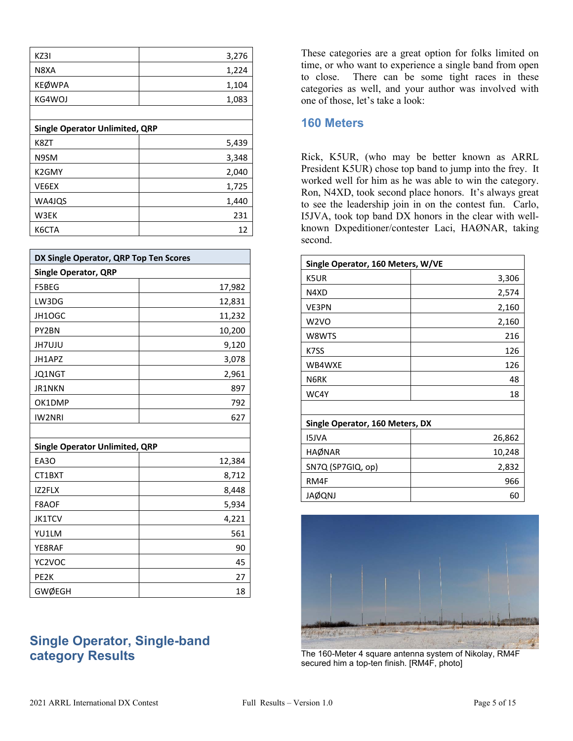| KZ3I                                  | 3,276 |  |
|---------------------------------------|-------|--|
| N8XA                                  | 1,224 |  |
| <b>KEØWPA</b>                         | 1,104 |  |
| KG4WOJ                                | 1,083 |  |
|                                       |       |  |
| <b>Single Operator Unlimited, QRP</b> |       |  |
| K8ZT                                  | 5,439 |  |
| N9SM                                  | 3,348 |  |
| K2GMY                                 | 2,040 |  |
| VE6EX                                 | 1,725 |  |
| WA4JQS                                | 1,440 |  |
| W3EK                                  | 231   |  |
| K6CTA                                 | 12    |  |

| DX Single Operator, QRP Top Ten Scores |        |
|----------------------------------------|--------|
| <b>Single Operator, QRP</b>            |        |
| F5BEG                                  | 17,982 |
| LW3DG                                  | 12,831 |
| JH1OGC                                 | 11,232 |
| PY2BN                                  | 10,200 |
| JH7UJU                                 | 9,120  |
| JH1APZ                                 | 3,078  |
| JQ1NGT                                 | 2,961  |
| JR1NKN                                 | 897    |
| OK1DMP                                 | 792    |
| IW2NRI                                 | 627    |
|                                        |        |
| <b>Single Operator Unlimited, QRP</b>  |        |
| EA3O                                   | 12,384 |
| CT1BXT                                 | 8,712  |
| IZ2FLX                                 | 8,448  |
| F8AOF                                  | 5,934  |
| <b>JK1TCV</b>                          | 4,221  |
| YU1LM                                  | 561    |
| YE8RAF                                 | 90     |
| YC2VOC                                 | 45     |
| PE <sub>2</sub> K                      | 27     |
| <b>GWØEGH</b>                          | 18     |

## **Single Operator, Single-band category Results**

These categories are a great option for folks limited on time, or who want to experience a single band from open to close. There can be some tight races in these categories as well, and your author was involved with one of those, let's take a look:

#### **160 Meters**

Rick, K5UR, (who may be better known as ARRL President K5UR) chose top band to jump into the frey. It worked well for him as he was able to win the category. Ron, N4XD, took second place honors. It's always great to see the leadership join in on the contest fun. Carlo, I5JVA, took top band DX honors in the clear with wellknown Dxpeditioner/contester Laci, HAØNAR, taking second.

| Single Operator, 160 Meters, W/VE |        |  |
|-----------------------------------|--------|--|
| K5UR                              | 3,306  |  |
| N4XD                              | 2,574  |  |
| <b>VE3PN</b>                      | 2,160  |  |
| W2VO                              | 2,160  |  |
| W8WTS                             | 216    |  |
| K7SS                              | 126    |  |
| WB4WXE                            | 126    |  |
| N6RK                              | 48     |  |
| WC4Y                              | 18     |  |
|                                   |        |  |
| Single Operator, 160 Meters, DX   |        |  |
| <b>ISJVA</b>                      | 26,862 |  |
| <b>HAØNAR</b>                     | 10,248 |  |
| SN7Q (SP7GIQ, op)                 | 2,832  |  |
| RM4F                              | 966    |  |
| <b>JAØQNJ</b>                     | 60     |  |



The 160-Meter 4 square antenna system of Nikolay, RM4F secured him a top-ten finish. [RM4F, photo]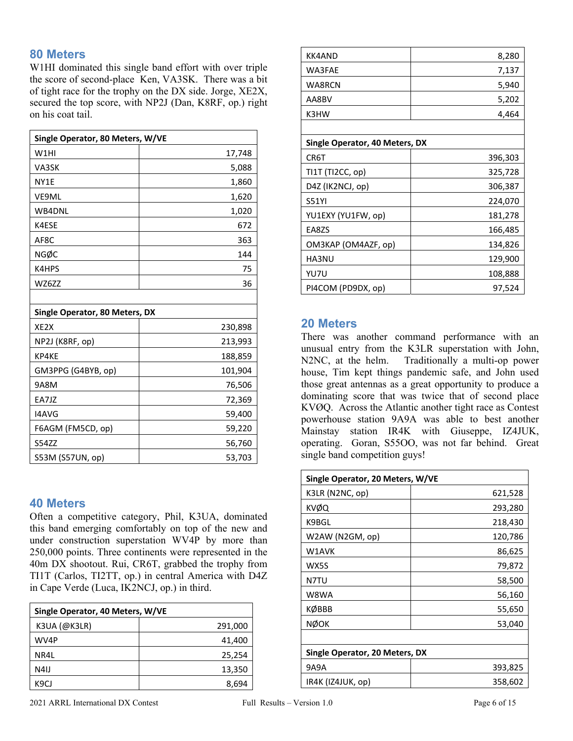#### **80 Meters**

W1HI dominated this single band effort with over triple the score of second-place Ken, VA3SK. There was a bit of tight race for the trophy on the DX side. Jorge, XE2X, secured the top score, with NP2J (Dan, K8RF, op.) right on his coat tail.

| Single Operator, 80 Meters, W/VE |         |  |
|----------------------------------|---------|--|
| W1HI                             | 17,748  |  |
| VA3SK                            | 5,088   |  |
| NY1E                             | 1,860   |  |
| VE9ML                            | 1,620   |  |
| WB4DNL                           | 1,020   |  |
| K4ESE                            | 672     |  |
| AF8C                             | 363     |  |
| NGØC                             | 144     |  |
| K4HPS                            | 75      |  |
| WZ6ZZ                            | 36      |  |
|                                  |         |  |
| Single Operator, 80 Meters, DX   |         |  |
| XE <sub>2</sub> X                | 230,898 |  |
| NP2J (K8RF, op)                  | 213,993 |  |
| KP4KE                            | 188,859 |  |
| GM3PPG (G4BYB, op)               | 101,904 |  |
| 9A8M                             | 76,506  |  |
| EA7JZ                            | 72,369  |  |
| I4AVG                            | 59,400  |  |
| F6AGM (FM5CD, op)                | 59,220  |  |
| <b>S54ZZ</b>                     | 56,760  |  |
| S53M (S57UN, op)                 | 53,703  |  |

#### **40 Meters**

Often a competitive category, Phil, K3UA, dominated this band emerging comfortably on top of the new and under construction superstation WV4P by more than 250,000 points. Three continents were represented in the 40m DX shootout. Rui, CR6T, grabbed the trophy from TI1T (Carlos, TI2TT, op.) in central America with D4Z in Cape Verde (Luca, IK2NCJ, op.) in third.

| Single Operator, 40 Meters, W/VE |         |  |
|----------------------------------|---------|--|
| $K3UA$ (@K3LR)                   | 291,000 |  |
| WV4P                             | 41,400  |  |
| NR4L                             | 25,254  |  |
| N4IJ                             | 13,350  |  |
| K9CJ                             | 8,694   |  |

| <b>KK4AND</b>                  | 8,280   |  |  |
|--------------------------------|---------|--|--|
| WA3FAE                         | 7,137   |  |  |
| WA8RCN                         | 5,940   |  |  |
| AA8BV                          | 5,202   |  |  |
| K3HW                           | 4,464   |  |  |
|                                |         |  |  |
| Single Operator, 40 Meters, DX |         |  |  |
| CR6T                           | 396,303 |  |  |
| TI1T (TI2CC, op)               | 325,728 |  |  |
| D4Z (IK2NCJ, op)               | 306,387 |  |  |
| <b>S51YI</b>                   | 224,070 |  |  |
| YU1EXY (YU1FW, op)             | 181,278 |  |  |
| EA8ZS                          | 166,485 |  |  |
| OM3KAP (OM4AZF, op)            | 134,826 |  |  |
| HA3NU                          | 129,900 |  |  |
| YU7U                           | 108,888 |  |  |
| PI4COM (PD9DX, op)             | 97,524  |  |  |

#### **20 Meters**

There was another command performance with an unusual entry from the K3LR superstation with John, N2NC, at the helm. Traditionally a multi-op power house, Tim kept things pandemic safe, and John used those great antennas as a great opportunity to produce a dominating score that was twice that of second place KVØQ. Across the Atlantic another tight race as Contest powerhouse station 9A9A was able to best another Mainstay station IR4K with Giuseppe, IZ4JUK, operating. Goran, S55OO, was not far behind. Great single band competition guys!

| Single Operator, 20 Meters, W/VE |         |  |
|----------------------------------|---------|--|
| K3LR (N2NC, op)                  | 621,528 |  |
| KVØQ                             | 293,280 |  |
| K9BGL                            | 218,430 |  |
| W2AW (N2GM, op)                  | 120,786 |  |
| W1AVK                            | 86,625  |  |
| WX5S                             | 79,872  |  |
| N7TU                             | 58,500  |  |
| W8WA                             | 56,160  |  |
| KØBBB                            | 55,650  |  |
| NØOK                             | 53,040  |  |
|                                  |         |  |
| Single Operator, 20 Meters, DX   |         |  |
| 9A9A                             | 393,825 |  |
| IR4K (IZ4JUK, op)                | 358,602 |  |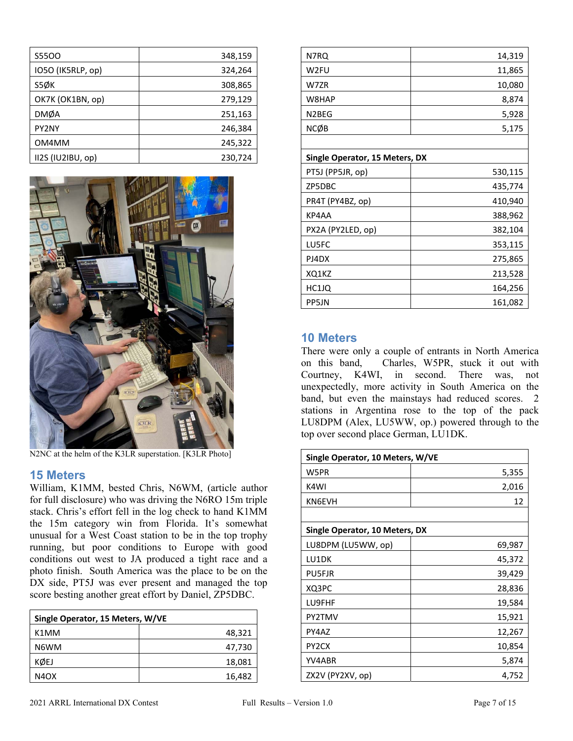| <b>S5500</b>      | 348,159 |
|-------------------|---------|
| IO5O (IK5RLP, op) | 324,264 |
| S5ØK              | 308,865 |
| OK7K (OK1BN, op)  | 279,129 |
| <b>DMØA</b>       | 251,163 |
| PY2NY             | 246,384 |
| OM4MM             | 245,322 |
| II2S (IU2IBU, op) | 230,724 |



N2NC at the helm of the K3LR superstation. [K3LR Photo]

#### **15 Meters**

William, K1MM, bested Chris, N6WM, (article author for full disclosure) who was driving the N6RO 15m triple stack. Chris's effort fell in the log check to hand K1MM the 15m category win from Florida. It's somewhat unusual for a West Coast station to be in the top trophy running, but poor conditions to Europe with good conditions out west to JA produced a tight race and a photo finish. South America was the place to be on the DX side, PT5J was ever present and managed the top score besting another great effort by Daniel, ZP5DBC.

| Single Operator, 15 Meters, W/VE |        |  |
|----------------------------------|--------|--|
| K <sub>1</sub> MM                | 48,321 |  |
| N6WM                             | 47,730 |  |
| KØEJ                             | 18,081 |  |
| N4OX                             | 16,482 |  |

| N7RQ                           | 14,319  |
|--------------------------------|---------|
| W <sub>2FU</sub>               | 11,865  |
| W7ZR                           | 10,080  |
| W8HAP                          | 8,874   |
| N <sub>2</sub> BEG             | 5,928   |
| <b>NCØB</b>                    | 5,175   |
|                                |         |
| Single Operator, 15 Meters, DX |         |
| PT5J (PP5JR, op)               | 530,115 |
| ZP5DBC                         | 435,774 |
| PR4T (PY4BZ, op)               | 410,940 |
| KP4AA                          | 388,962 |
| PX2A (PY2LED, op)              | 382,104 |
| LU5FC                          | 353,115 |
| PJ4DX                          | 275,865 |
| XQ1KZ                          | 213,528 |
| HC1JQ                          | 164,256 |
| PP5JN                          | 161,082 |

#### **10 Meters**

There were only a couple of entrants in North America on this band, Charles, W5PR, stuck it out with Courtney, K4WI, in second. There was, not unexpectedly, more activity in South America on the band, but even the mainstays had reduced scores. 2 stations in Argentina rose to the top of the pack LU8DPM (Alex, LU5WW, op.) powered through to the top over second place German, LU1DK.

| Single Operator, 10 Meters, W/VE |        |  |  |
|----------------------------------|--------|--|--|
| W5PR                             | 5,355  |  |  |
| K4WI                             | 2,016  |  |  |
| KN6EVH                           | 12     |  |  |
|                                  |        |  |  |
| Single Operator, 10 Meters, DX   |        |  |  |
| LU8DPM (LU5WW, op)               | 69,987 |  |  |
| LU1DK                            | 45,372 |  |  |
| <b>PU5FJR</b>                    | 39,429 |  |  |
| XQ3PC                            | 28,836 |  |  |
| LU9FHF                           | 19,584 |  |  |
| PY2TMV                           | 15,921 |  |  |
| PY4AZ                            | 12,267 |  |  |
| PY <sub>2</sub> CX               | 10,854 |  |  |
| YV4ABR                           | 5,874  |  |  |
| ZX2V (PY2XV, op)                 | 4,752  |  |  |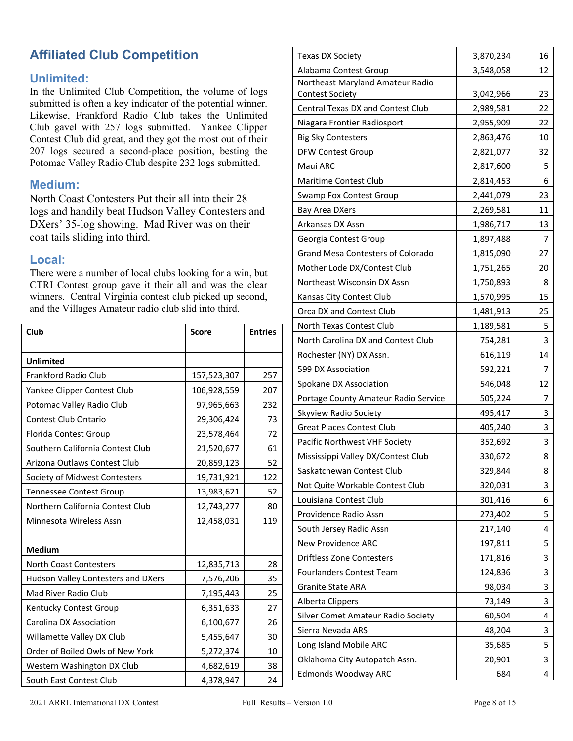## **Affiliated Club Competition**

#### **Unlimited:**

In the Unlimited Club Competition, the volume of logs submitted is often a key indicator of the potential winner. Likewise, Frankford Radio Club takes the Unlimited Club gavel with 257 logs submitted. Yankee Clipper Contest Club did great, and they got the most out of their 207 logs secured a second-place position, besting the Potomac Valley Radio Club despite 232 logs submitted.

#### **Medium:**

North Coast Contesters Put their all into their 28 logs and handily beat Hudson Valley Contesters and DXers' 35-log showing. Mad River was on their coat tails sliding into third.

#### **Local:**

There were a number of local clubs looking for a win, but CTRI Contest group gave it their all and was the clear winners. Central Virginia contest club picked up second, and the Villages Amateur radio club slid into third.

| Club                               | <b>Score</b> | <b>Entries</b> |
|------------------------------------|--------------|----------------|
|                                    |              |                |
| <b>Unlimited</b>                   |              |                |
| <b>Frankford Radio Club</b>        | 157,523,307  | 257            |
| Yankee Clipper Contest Club        | 106,928,559  | 207            |
| Potomac Valley Radio Club          | 97,965,663   | 232            |
| Contest Club Ontario               | 29,306,424   | 73             |
| Florida Contest Group              | 23,578,464   | 72             |
| Southern California Contest Club   | 21,520,677   | 61             |
| Arizona Outlaws Contest Club       | 20,859,123   | 52             |
| Society of Midwest Contesters      | 19,731,921   | 122            |
| <b>Tennessee Contest Group</b>     | 13,983,621   | 52             |
| Northern California Contest Club   | 12,743,277   | 80             |
| Minnesota Wireless Assn            | 12,458,031   | 119            |
|                                    |              |                |
| <b>Medium</b>                      |              |                |
| <b>North Coast Contesters</b>      | 12,835,713   | 28             |
| Hudson Valley Contesters and DXers | 7,576,206    | 35             |
| Mad River Radio Club               | 7,195,443    | 25             |
| Kentucky Contest Group             | 6,351,633    | 27             |
| Carolina DX Association            | 6,100,677    | 26             |
| Willamette Valley DX Club          | 5,455,647    | 30             |
| Order of Boiled Owls of New York   | 5,272,374    | 10             |
| Western Washington DX Club         | 4,682,619    | 38             |
| South East Contest Club            | 4,378,947    | 24             |

| <b>Texas DX Society</b>              | 3,870,234 | 16 |
|--------------------------------------|-----------|----|
| Alabama Contest Group                | 3,548,058 | 12 |
| Northeast Maryland Amateur Radio     |           |    |
| <b>Contest Society</b>               | 3,042,966 | 23 |
| Central Texas DX and Contest Club    | 2,989,581 | 22 |
| Niagara Frontier Radiosport          | 2,955,909 | 22 |
| <b>Big Sky Contesters</b>            | 2,863,476 | 10 |
| <b>DFW Contest Group</b>             | 2,821,077 | 32 |
| Maui ARC                             | 2,817,600 | 5  |
| Maritime Contest Club                | 2,814,453 | 6  |
| Swamp Fox Contest Group              | 2,441,079 | 23 |
| Bay Area DXers                       | 2,269,581 | 11 |
| Arkansas DX Assn                     | 1,986,717 | 13 |
| Georgia Contest Group                | 1,897,488 | 7  |
| Grand Mesa Contesters of Colorado    | 1,815,090 | 27 |
| Mother Lode DX/Contest Club          | 1,751,265 | 20 |
| Northeast Wisconsin DX Assn          | 1,750,893 | 8  |
| Kansas City Contest Club             | 1,570,995 | 15 |
| Orca DX and Contest Club             | 1,481,913 | 25 |
| North Texas Contest Club             | 1,189,581 | 5  |
| North Carolina DX and Contest Club   | 754,281   | 3  |
| Rochester (NY) DX Assn.              | 616,119   | 14 |
| 599 DX Association                   | 592,221   | 7  |
| Spokane DX Association               | 546,048   | 12 |
| Portage County Amateur Radio Service | 505,224   | 7  |
| Skyview Radio Society                | 495,417   | 3  |
| <b>Great Places Contest Club</b>     | 405,240   | 3  |
| Pacific Northwest VHF Society        | 352,692   | 3  |
| Mississippi Valley DX/Contest Club   | 330,672   | 8  |
| Saskatchewan Contest Club            | 329,844   | 8  |
| Not Quite Workable Contest Club      | 320,031   | 3  |
| Louisiana Contest Club               | 301,416   | 6  |
| Providence Radio Assn                | 273,402   | 5  |
| South Jersey Radio Assn              | 217,140   | 4  |
| New Providence ARC                   | 197,811   | 5  |
| <b>Driftless Zone Contesters</b>     | 171,816   | 3  |
| <b>Fourlanders Contest Team</b>      | 124,836   | 3  |
| Granite State ARA                    | 98,034    | 3  |
| Alberta Clippers                     | 73,149    | 3  |
| Silver Comet Amateur Radio Society   | 60,504    | 4  |
| Sierra Nevada ARS                    | 48,204    | 3  |
| Long Island Mobile ARC               | 35,685    | 5  |
| Oklahoma City Autopatch Assn.        | 20,901    | 3  |
| <b>Edmonds Woodway ARC</b>           | 684       | 4  |
|                                      |           |    |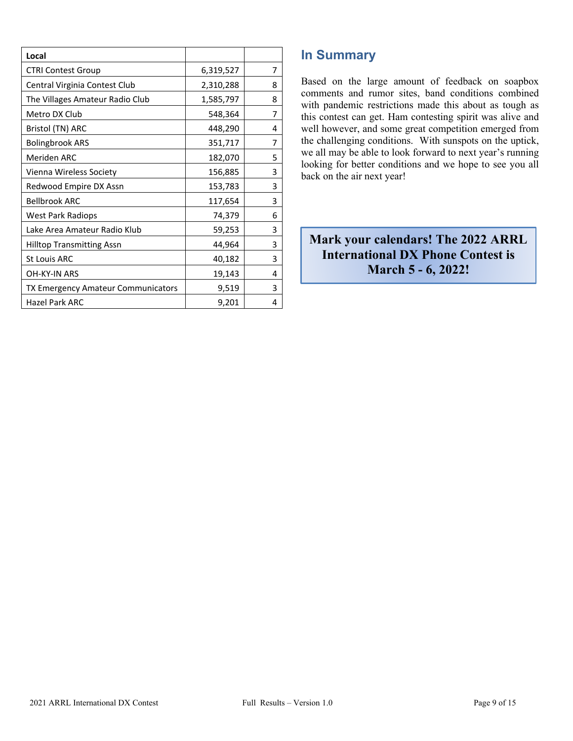| Local                              |           |   |
|------------------------------------|-----------|---|
| <b>CTRI Contest Group</b>          | 6,319,527 | 7 |
| Central Virginia Contest Club      | 2,310,288 | 8 |
| The Villages Amateur Radio Club    | 1,585,797 | 8 |
| Metro DX Club                      | 548,364   | 7 |
| Bristol (TN) ARC                   | 448,290   | 4 |
| <b>Bolingbrook ARS</b>             | 351,717   | 7 |
| Meriden ARC                        | 182,070   | 5 |
| Vienna Wireless Society            | 156,885   | 3 |
| Redwood Empire DX Assn             | 153,783   | 3 |
| <b>Bellbrook ARC</b>               | 117,654   | 3 |
| West Park Radiops                  | 74,379    | 6 |
| Lake Area Amateur Radio Klub       | 59,253    | 3 |
| <b>Hilltop Transmitting Assn</b>   | 44,964    | 3 |
| <b>St Louis ARC</b>                | 40,182    | 3 |
| OH-KY-IN ARS                       | 19,143    | 4 |
| TX Emergency Amateur Communicators | 9,519     | 3 |
| Hazel Park ARC                     | 9,201     | 4 |

## **In Summary**

Based on the large amount of feedback on soapbox comments and rumor sites, band conditions combined with pandemic restrictions made this about as tough as this contest can get. Ham contesting spirit was alive and well however, and some great competition emerged from the challenging conditions. With sunspots on the uptick, we all may be able to look forward to next year's running looking for better conditions and we hope to see you all back on the air next year!

 **Mark your calendars! The 2022 ARRL International DX Phone Contest is March 5 - 6, 2022!**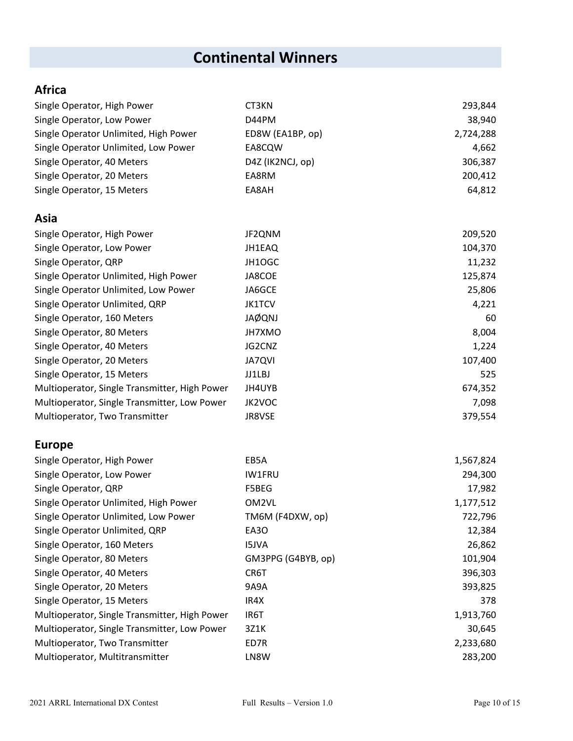## **Continental Winners**

## **Africa**

| Single Operator, High Power                   | CT3KN              | 293,844   |
|-----------------------------------------------|--------------------|-----------|
| Single Operator, Low Power                    | D44PM              | 38,940    |
| Single Operator Unlimited, High Power         | ED8W (EA1BP, op)   | 2,724,288 |
| Single Operator Unlimited, Low Power          | EA8CQW             | 4,662     |
| Single Operator, 40 Meters                    | D4Z (IK2NCJ, op)   | 306,387   |
| Single Operator, 20 Meters                    | EA8RM              | 200,412   |
| Single Operator, 15 Meters                    | EA8AH              | 64,812    |
| Asia                                          |                    |           |
| Single Operator, High Power                   | JF2QNM             | 209,520   |
| Single Operator, Low Power                    | JH1EAQ             | 104,370   |
| Single Operator, QRP                          | JH1OGC             | 11,232    |
| Single Operator Unlimited, High Power         | JA8COE             | 125,874   |
| Single Operator Unlimited, Low Power          | JA6GCE             | 25,806    |
| Single Operator Unlimited, QRP                | <b>JK1TCV</b>      | 4,221     |
| Single Operator, 160 Meters                   | <b>JAØQNJ</b>      | 60        |
| Single Operator, 80 Meters                    | JH7XMO             | 8,004     |
| Single Operator, 40 Meters                    | JG2CNZ             | 1,224     |
| Single Operator, 20 Meters                    | <b>JA7QVI</b>      | 107,400   |
| Single Operator, 15 Meters                    | JJ1LBJ             | 525       |
| Multioperator, Single Transmitter, High Power | JH4UYB             | 674,352   |
| Multioperator, Single Transmitter, Low Power  | JK2VOC             | 7,098     |
| Multioperator, Two Transmitter                | JR8VSE             | 379,554   |
| <b>Europe</b>                                 |                    |           |
| Single Operator, High Power                   | EB5A               | 1,567,824 |
| Single Operator, Low Power                    | IW1FRU             | 294,300   |
| Single Operator, QRP                          | F5BEG              | 17,982    |
| Single Operator Unlimited, High Power         | OM2VL              | 1,177,512 |
| Single Operator Unlimited, Low Power          | TM6M (F4DXW, op)   | 722,796   |
| Single Operator Unlimited, QRP                | EA3O               | 12,384    |
| Single Operator, 160 Meters                   | <b>I5JVA</b>       | 26,862    |
| Single Operator, 80 Meters                    | GM3PPG (G4BYB, op) | 101,904   |
| Single Operator, 40 Meters                    | CR6T               | 396,303   |
| Single Operator, 20 Meters                    | 9A9A               | 393,825   |
| Single Operator, 15 Meters                    | IR4X               | 378       |
| Multioperator, Single Transmitter, High Power | IR6T               | 1,913,760 |
| Multioperator, Single Transmitter, Low Power  | 3Z1K               | 30,645    |
| Multioperator, Two Transmitter                | ED7R               | 2,233,680 |
| Multioperator, Multitransmitter               | LN8W               | 283,200   |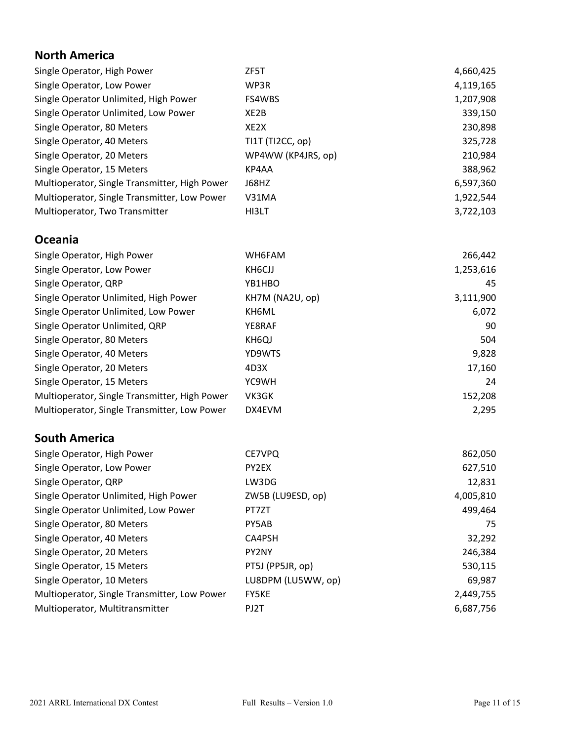## **North America**

| Single Operator, High Power                   | ZF5T               | 4,660,425 |
|-----------------------------------------------|--------------------|-----------|
| Single Operator, Low Power                    | WP3R               | 4,119,165 |
| Single Operator Unlimited, High Power         | <b>FS4WBS</b>      | 1,207,908 |
| Single Operator Unlimited, Low Power          | XE2B               | 339,150   |
| Single Operator, 80 Meters                    | XE2X               | 230,898   |
| Single Operator, 40 Meters                    | TI1T (TI2CC, op)   | 325,728   |
| Single Operator, 20 Meters                    | WP4WW (KP4JRS, op) | 210,984   |
| Single Operator, 15 Meters                    | KP4AA              | 388,962   |
| Multioperator, Single Transmitter, High Power | J68HZ              | 6,597,360 |
| Multioperator, Single Transmitter, Low Power  | V31MA              | 1,922,544 |
| Multioperator, Two Transmitter                | HI3LT              | 3,722,103 |
|                                               |                    |           |
| <b>Oceania</b>                                |                    |           |
| Single Operator, High Power                   | WH6FAM             | 266,442   |
| Single Operator, Low Power                    | KH6CJJ             | 1,253,616 |
| Single Operator, QRP                          | YB1HBO             | 45        |
| Single Operator Unlimited, High Power         | KH7M (NA2U, op)    | 3,111,900 |
| Single Operator Unlimited, Low Power          | KH6ML              | 6,072     |
| Single Operator Unlimited, QRP                | YE8RAF             | 90        |
| Single Operator, 80 Meters                    | KH6QJ              | 504       |
|                                               |                    |           |
| Single Operator, 40 Meters                    | YD9WTS             | 9,828     |

| Single Operator, 20 Meters                    | 4D3X   | 17.160  |
|-----------------------------------------------|--------|---------|
| Single Operator, 15 Meters                    | YC9WH  | 24      |
| Multioperator, Single Transmitter, High Power | VK3GK  | 152.208 |
| Multioperator, Single Transmitter, Low Power  | DX4EVM | 2.295   |

## **South America**

| Single Operator, High Power                  | CE7VPQ             | 862,050   |
|----------------------------------------------|--------------------|-----------|
| Single Operator, Low Power                   | PY2EX              | 627,510   |
| Single Operator, QRP                         | LW3DG              | 12,831    |
| Single Operator Unlimited, High Power        | ZW5B (LU9ESD, op)  | 4,005,810 |
| Single Operator Unlimited, Low Power         | PT7ZT              | 499,464   |
| Single Operator, 80 Meters                   | PY5AB              | 75        |
| Single Operator, 40 Meters                   | CA4PSH             | 32,292    |
| Single Operator, 20 Meters                   | PY2NY              | 246,384   |
| Single Operator, 15 Meters                   | PT5J (PP5JR, op)   | 530,115   |
| Single Operator, 10 Meters                   | LU8DPM (LU5WW, op) | 69,987    |
| Multioperator, Single Transmitter, Low Power | <b>FY5KE</b>       | 2,449,755 |
| Multioperator, Multitransmitter              | PJ2T               | 6,687,756 |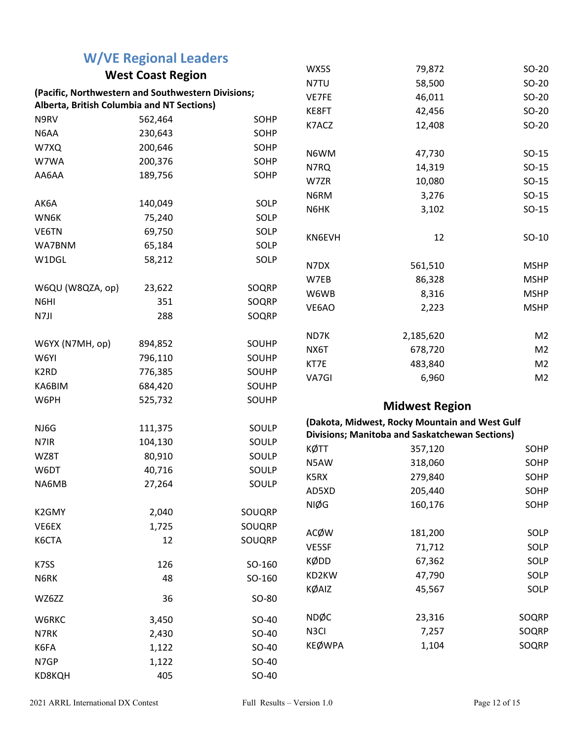|                                                    | <b>W/VE Regional Leaders</b> |        |                   |                                                |                |
|----------------------------------------------------|------------------------------|--------|-------------------|------------------------------------------------|----------------|
| <b>West Coast Region</b>                           |                              |        | WX5S              | 79,872                                         | $SO-20$        |
| (Pacific, Northwestern and Southwestern Divisions; |                              |        | N7TU              | 58,500                                         | $SO-20$        |
| Alberta, British Columbia and NT Sections)         |                              |        | VE7FE             | 46,011                                         | $SO-20$        |
| N9RV                                               | 562,464                      | SOHP   | KE8FT             | 42,456                                         | $SO-20$        |
| N6AA                                               | 230,643                      | SOHP   | K7ACZ             | 12,408                                         | $SO-20$        |
| W7XQ                                               | 200,646                      | SOHP   |                   |                                                |                |
| W7WA                                               | 200,376                      | SOHP   | N6WM              | 47,730                                         | $SO-15$        |
| AA6AA                                              | 189,756                      | SOHP   | N7RQ              | 14,319                                         | $SO-15$        |
|                                                    |                              |        | W7ZR              | 10,080                                         | $SO-15$        |
|                                                    |                              |        | N6RM              | 3,276                                          | $SO-15$        |
| AK6A                                               | 140,049                      | SOLP   | N6HK              | 3,102                                          | $SO-15$        |
| WN6K                                               | 75,240                       | SOLP   |                   |                                                |                |
| VE6TN                                              | 69,750                       | SOLP   | KN6EVH            | 12                                             | $SO-10$        |
| WA7BNM                                             | 65,184                       | SOLP   |                   |                                                |                |
| W1DGL                                              | 58,212                       | SOLP   | N7DX              | 561,510                                        | <b>MSHP</b>    |
|                                                    |                              |        | W7EB              | 86,328                                         | <b>MSHP</b>    |
| W6QU (W8QZA, op)                                   | 23,622                       | SOQRP  | W6WB              | 8,316                                          | <b>MSHP</b>    |
| N6HI                                               | 351                          | SOQRP  | VE6AO             | 2,223                                          | <b>MSHP</b>    |
| N7JI                                               | 288                          | SOQRP  |                   |                                                |                |
|                                                    |                              |        | ND7K              | 2,185,620                                      | M <sub>2</sub> |
| W6YX (N7MH, op)                                    | 894,852                      | SOUHP  | NX6T              | 678,720                                        | M <sub>2</sub> |
| W6YI                                               | 796,110                      | SOUHP  | KT7E              | 483,840                                        | M <sub>2</sub> |
| K <sub>2</sub> RD                                  | 776,385                      | SOUHP  | VA7GI             | 6,960                                          | M <sub>2</sub> |
| KA6BIM                                             | 684,420                      | SOUHP  |                   |                                                |                |
| W6PH                                               | 525,732                      | SOUHP  |                   | <b>Midwest Region</b>                          |                |
| NJ6G                                               | 111,375                      | SOULP  |                   | (Dakota, Midwest, Rocky Mountain and West Gulf |                |
| N7IR                                               | 104,130                      | SOULP  |                   | Divisions; Manitoba and Saskatchewan Sections) |                |
| WZ8T                                               | 80,910                       | SOULP  | KØTT              | 357,120                                        | SOHP           |
|                                                    |                              |        | N5AW              | 318,060                                        | SOHP           |
| W6DT                                               | 40,716                       | SOULP  | K5RX              | 279,840                                        | SOHP           |
| NA6MB                                              | 27,264                       | SOULP  | AD5XD             | 205,440                                        | SOHP           |
|                                                    |                              |        | NIØG              | 160,176                                        | SOHP           |
| K2GMY                                              | 2,040                        | SOUQRP |                   |                                                |                |
| VE6EX                                              | 1,725                        | SOUQRP | ACØW              | 181,200                                        | SOLP           |
| K6CTA                                              | 12                           | SOUQRP | VE5SF             | 71,712                                         | SOLP           |
| K7SS                                               | 126                          | SO-160 | KØDD              | 67,362                                         | SOLP           |
| N6RK                                               | 48                           | SO-160 | KD2KW             | 47,790                                         | SOLP           |
|                                                    |                              |        | KØAIZ             | 45,567                                         | SOLP           |
| WZ6ZZ                                              | 36                           | SO-80  |                   |                                                |                |
| W6RKC                                              | 3,450                        | SO-40  | <b>NDØC</b>       | 23,316                                         | SOQRP          |
| N7RK                                               | 2,430                        | SO-40  | N <sub>3</sub> Cl | 7,257                                          | SOQRP          |
| K6FA                                               | 1,122                        | SO-40  | <b>KEØWPA</b>     | 1,104                                          | SOQRP          |
| N7GP                                               | 1,122                        | SO-40  |                   |                                                |                |
| KD8KQH                                             | 405                          | SO-40  |                   |                                                |                |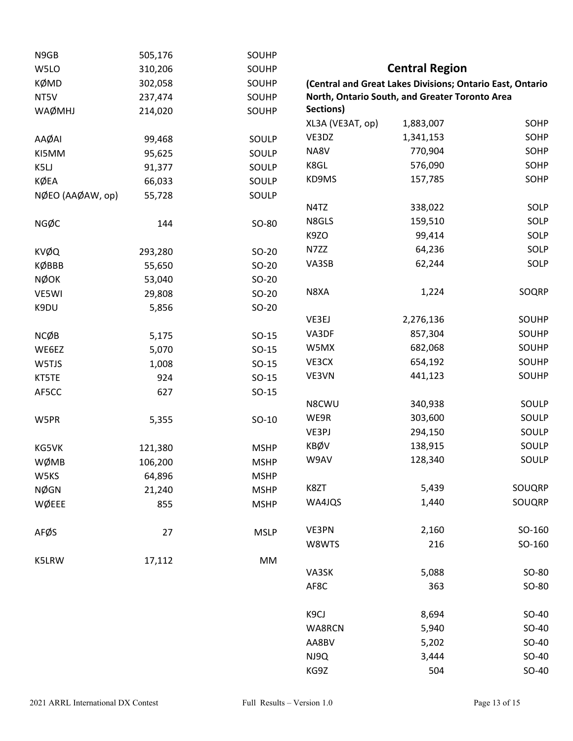| N9GB             | 505,176 | SOUHP       |                  |                                                           |        |
|------------------|---------|-------------|------------------|-----------------------------------------------------------|--------|
| W5LO             | 310,206 | SOUHP       |                  | <b>Central Region</b>                                     |        |
| <b>KØMD</b>      | 302,058 | SOUHP       |                  | (Central and Great Lakes Divisions; Ontario East, Ontario |        |
| NT5V             | 237,474 | SOUHP       |                  | North, Ontario South, and Greater Toronto Area            |        |
| WAØMHJ           | 214,020 | SOUHP       | Sections)        |                                                           |        |
|                  |         |             | XL3A (VE3AT, op) | 1,883,007                                                 | SOHP   |
| AAØAI            | 99,468  | SOULP       | VE3DZ            | 1,341,153                                                 | SOHP   |
| KI5MM            | 95,625  | SOULP       | NA8V             | 770,904                                                   | SOHP   |
| K5LJ             | 91,377  | SOULP       | K8GL             | 576,090                                                   | SOHP   |
| KØEA             | 66,033  | SOULP       | KD9MS            | 157,785                                                   | SOHP   |
| NØEO (AAØAW, op) | 55,728  | SOULP       |                  |                                                           |        |
|                  |         |             | N4TZ             | 338,022                                                   | SOLP   |
| NGØC             | 144     | SO-80       | N8GLS            | 159,510                                                   | SOLP   |
|                  |         |             | K9ZO             | 99,414                                                    | SOLP   |
| KVØQ             | 293,280 | $SO-20$     | N7ZZ             | 64,236                                                    | SOLP   |
| KØBBB            | 55,650  | $SO-20$     | VA3SB            | 62,244                                                    | SOLP   |
| <b>NØOK</b>      | 53,040  | $SO-20$     |                  |                                                           |        |
| VE5WI            | 29,808  | $SO-20$     | N8XA             | 1,224                                                     | SOQRP  |
| K9DU             | 5,856   | $SO-20$     |                  |                                                           |        |
|                  |         |             | VE3EJ            | 2,276,136                                                 | SOUHP  |
| <b>NCØB</b>      | 5,175   | $SO-15$     | VA3DF            | 857,304                                                   | SOUHP  |
| WE6EZ            | 5,070   | $SO-15$     | W5MX             | 682,068                                                   | SOUHP  |
| W5TJS            | 1,008   | $SO-15$     | VE3CX            | 654,192                                                   | SOUHP  |
| KT5TE            | 924     | $SO-15$     | VE3VN            | 441,123                                                   | SOUHP  |
| AF5CC            | 627     | $SO-15$     |                  |                                                           |        |
|                  |         |             | N8CWU            | 340,938                                                   | SOULP  |
| W5PR             | 5,355   | $SO-10$     | WE9R             | 303,600                                                   | SOULP  |
|                  |         |             | VE3PJ            | 294,150                                                   | SOULP  |
| KG5VK            | 121,380 | <b>MSHP</b> | KBØV             | 138,915                                                   | SOULP  |
| WØMB             | 106,200 | <b>MSHP</b> | W9AV             | 128,340                                                   | SOULP  |
| W5KS             | 64,896  | <b>MSHP</b> |                  |                                                           |        |
| <b>NØGN</b>      | 21,240  | <b>MSHP</b> | K8ZT             | 5,439                                                     | SOUQRP |
| WØEEE            | 855     | <b>MSHP</b> | WA4JQS           | 1,440                                                     | SOUQRP |
| AFØS             | 27      | <b>MSLP</b> | VE3PN            | 2,160                                                     | SO-160 |
|                  |         |             | W8WTS            | 216                                                       | SO-160 |
| K5LRW            | 17,112  | MM          |                  |                                                           |        |
|                  |         |             | VA3SK            | 5,088                                                     | SO-80  |
|                  |         |             | AF8C             | 363                                                       | SO-80  |
|                  |         |             | K9CJ             | 8,694                                                     | SO-40  |
|                  |         |             | WA8RCN           | 5,940                                                     | SO-40  |
|                  |         |             | AA8BV            | 5,202                                                     | SO-40  |
|                  |         |             | NJ9Q             | 3,444                                                     | SO-40  |
|                  |         |             | KG9Z             | 504                                                       | SO-40  |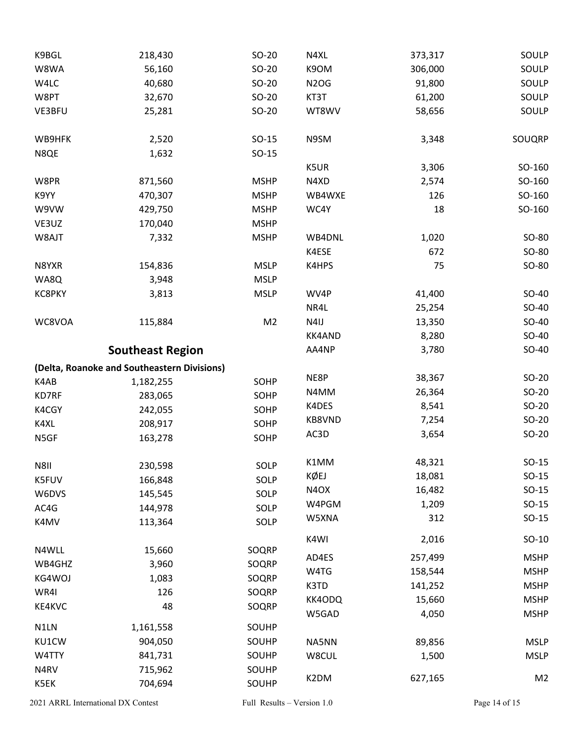| K9BGL  | 218,430                                     | $SO-20$        | N4XL              | 373,317 | SOULP          |
|--------|---------------------------------------------|----------------|-------------------|---------|----------------|
| W8WA   | 56,160                                      | $SO-20$        | K9OM              | 306,000 | SOULP          |
| W4LC   | 40,680                                      | $SO-20$        | <b>N2OG</b>       | 91,800  | SOULP          |
| W8PT   | 32,670                                      | $SO-20$        | KT3T              | 61,200  | SOULP          |
| VE3BFU | 25,281                                      | $SO-20$        | WT8WV             | 58,656  | SOULP          |
| WB9HFK | 2,520                                       | $SO-15$        | N9SM              | 3,348   | SOUQRP         |
| N8QE   | 1,632                                       | $SO-15$        |                   |         |                |
|        |                                             |                | K5UR              | 3,306   | SO-160         |
| W8PR   | 871,560                                     | <b>MSHP</b>    | N4XD              | 2,574   | SO-160         |
| K9YY   | 470,307                                     | <b>MSHP</b>    | WB4WXE            | 126     | SO-160         |
| W9VW   | 429,750                                     | <b>MSHP</b>    | WC4Y              | 18      | SO-160         |
| VE3UZ  | 170,040                                     | <b>MSHP</b>    |                   |         |                |
| W8AJT  | 7,332                                       | <b>MSHP</b>    | WB4DNL            | 1,020   | SO-80          |
|        |                                             |                | K4ESE             | 672     | SO-80          |
| N8YXR  | 154,836                                     | <b>MSLP</b>    | K4HPS             | 75      | SO-80          |
| WA8Q   | 3,948                                       | <b>MSLP</b>    |                   |         |                |
| KC8PKY | 3,813                                       | <b>MSLP</b>    | WV4P              | 41,400  | SO-40          |
|        |                                             |                | NR4L              | 25,254  | SO-40          |
| WC8VOA | 115,884                                     | M <sub>2</sub> | N4IJ              | 13,350  | SO-40          |
|        |                                             |                | KK4AND            | 8,280   | SO-40          |
|        | <b>Southeast Region</b>                     |                | AA4NP             | 3,780   | SO-40          |
|        | (Delta, Roanoke and Southeastern Divisions) |                |                   |         |                |
| K4AB   | 1,182,255                                   | SOHP           | NE8P              | 38,367  | $SO-20$        |
| KD7RF  | 283,065                                     | SOHP           | N4MM              | 26,364  | $SO-20$        |
| K4CGY  | 242,055                                     | SOHP           | K4DES             | 8,541   | $SO-20$        |
| K4XL   | 208,917                                     | SOHP           | KB8VND            | 7,254   | $SO-20$        |
| N5GF   | 163,278                                     | SOHP           | AC3D              | 3,654   | $SO-20$        |
| N8II   | 230,598                                     | SOLP           | K1MM              | 48,321  | $SO-15$        |
| K5FUV  | 166,848                                     | SOLP           | KØEJ              | 18,081  | $SO-15$        |
| W6DVS  | 145,545                                     | SOLP           | N <sub>4</sub> OX | 16,482  | $SO-15$        |
| AC4G   | 144,978                                     | SOLP           | W4PGM             | 1,209   | $SO-15$        |
| K4MV   | 113,364                                     | SOLP           | W5XNA             | 312     | $SO-15$        |
|        |                                             |                | K4WI              | 2,016   | $SO-10$        |
| N4WLL  | 15,660                                      | SOQRP          | AD4ES             | 257,499 | <b>MSHP</b>    |
| WB4GHZ | 3,960                                       | SOQRP          | W4TG              | 158,544 | <b>MSHP</b>    |
| KG4WOJ | 1,083                                       | SOQRP          | K3TD              | 141,252 | <b>MSHP</b>    |
| WR4I   | 126                                         | SOQRP          | KK4ODQ            | 15,660  | <b>MSHP</b>    |
| KE4KVC | 48                                          | SOQRP          | W5GAD             | 4,050   | <b>MSHP</b>    |
| N1LN   | 1,161,558                                   | SOUHP          |                   |         |                |
| KU1CW  | 904,050                                     | SOUHP          | NA5NN             | 89,856  | <b>MSLP</b>    |
| W4TTY  |                                             |                |                   |         | <b>MSLP</b>    |
|        | 841,731                                     | SOUHP          | W8CUL             | 1,500   |                |
| N4RV   | 715,962                                     | SOUHP          | K2DM              | 627,165 | M <sub>2</sub> |